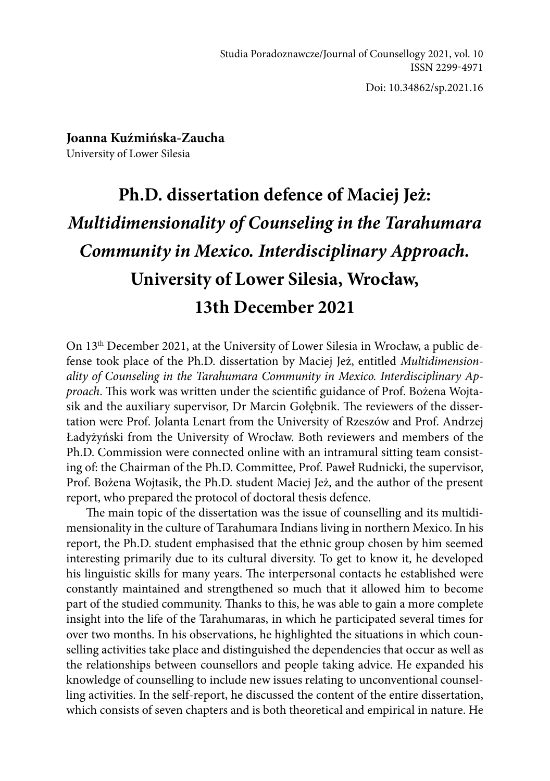Doi: 10.34862/sp.2021.16

**Joanna Kuźmińska-Zaucha**  University of Lower Silesia

## **Ph.D. dissertation defence of Maciej Jeż:**  *Multidimensionality of Counseling in the Tarahumara Community in Mexico. Interdisciplinary Approach.* **University of Lower Silesia, Wrocław, 13th December 2021**

On 13<sup>th</sup> December 2021, at the University of Lower Silesia in Wrocław, a public defense took place of the Ph.D. dissertation by Maciej Jeż, entitled *Multidimensionality of Counseling in the Tarahumara Community in Mexico. Interdisciplinary Approach*. This work was written under the scientific guidance of Prof. Bożena Wojtasik and the auxiliary supervisor, Dr Marcin Gołębnik. The reviewers of the dissertation were Prof. Jolanta Lenart from the University of Rzeszów and Prof. Andrzej Ładyżyński from the University of Wrocław. Both reviewers and members of the Ph.D. Commission were connected online with an intramural sitting team consisting of: the Chairman of the Ph.D. Committee, Prof. Paweł Rudnicki, the supervisor, Prof. Bożena Wojtasik, the Ph.D. student Maciej Jeż, and the author of the present report, who prepared the protocol of doctoral thesis defence.

The main topic of the dissertation was the issue of counselling and its multidimensionality in the culture of Tarahumara Indians living in northern Mexico. In his report, the Ph.D. student emphasised that the ethnic group chosen by him seemed interesting primarily due to its cultural diversity. To get to know it, he developed his linguistic skills for many years. The interpersonal contacts he established were constantly maintained and strengthened so much that it allowed him to become part of the studied community. Thanks to this, he was able to gain a more complete insight into the life of the Tarahumaras, in which he participated several times for over two months. In his observations, he highlighted the situations in which counselling activities take place and distinguished the dependencies that occur as well as the relationships between counsellors and people taking advice. He expanded his knowledge of counselling to include new issues relating to unconventional counselling activities. In the self-report, he discussed the content of the entire dissertation, which consists of seven chapters and is both theoretical and empirical in nature. He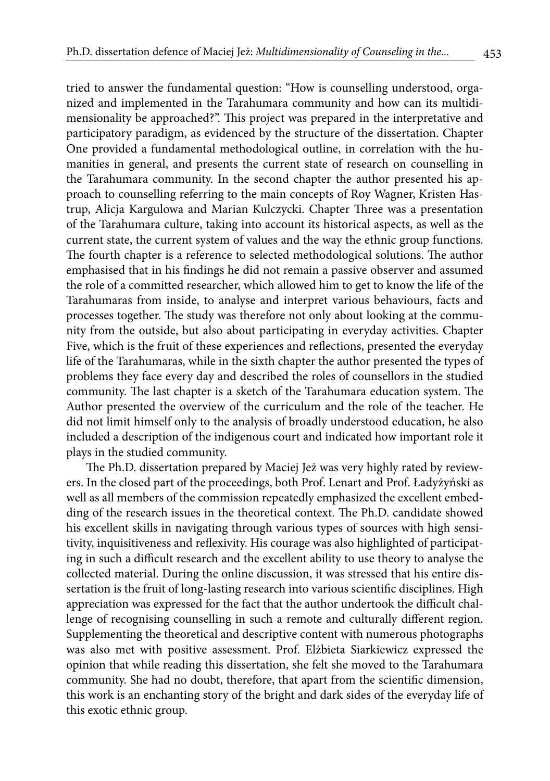tried to answer the fundamental question: "How is counselling understood, organized and implemented in the Tarahumara community and how can its multidimensionality be approached?". This project was prepared in the interpretative and participatory paradigm, as evidenced by the structure of the dissertation. Chapter

One provided a fundamental methodological outline, in correlation with the humanities in general, and presents the current state of research on counselling in the Tarahumara community. In the second chapter the author presented his approach to counselling referring to the main concepts of Roy Wagner, Kristen Hastrup, Alicja Kargulowa and Marian Kulczycki. Chapter Three was a presentation of the Tarahumara culture, taking into account its historical aspects, as well as the current state, the current system of values and the way the ethnic group functions. The fourth chapter is a reference to selected methodological solutions. The author emphasised that in his findings he did not remain a passive observer and assumed the role of a committed researcher, which allowed him to get to know the life of the Tarahumaras from inside, to analyse and interpret various behaviours, facts and processes together. The study was therefore not only about looking at the community from the outside, but also about participating in everyday activities. Chapter Five, which is the fruit of these experiences and reflections, presented the everyday life of the Tarahumaras, while in the sixth chapter the author presented the types of problems they face every day and described the roles of counsellors in the studied community. The last chapter is a sketch of the Tarahumara education system. The Author presented the overview of the curriculum and the role of the teacher. He did not limit himself only to the analysis of broadly understood education, he also included a description of the indigenous court and indicated how important role it plays in the studied community.

The Ph.D. dissertation prepared by Maciej Jeż was very highly rated by reviewers. In the closed part of the proceedings, both Prof. Lenart and Prof. Ładyżyński as well as all members of the commission repeatedly emphasized the excellent embedding of the research issues in the theoretical context. The Ph.D. candidate showed his excellent skills in navigating through various types of sources with high sensitivity, inquisitiveness and reflexivity. His courage was also highlighted of participating in such a difficult research and the excellent ability to use theory to analyse the collected material. During the online discussion, it was stressed that his entire dissertation is the fruit of long-lasting research into various scientific disciplines. High appreciation was expressed for the fact that the author undertook the difficult challenge of recognising counselling in such a remote and culturally different region. Supplementing the theoretical and descriptive content with numerous photographs was also met with positive assessment. Prof. Elżbieta Siarkiewicz expressed the opinion that while reading this dissertation, she felt she moved to the Tarahumara community. She had no doubt, therefore, that apart from the scientific dimension, this work is an enchanting story of the bright and dark sides of the everyday life of this exotic ethnic group.